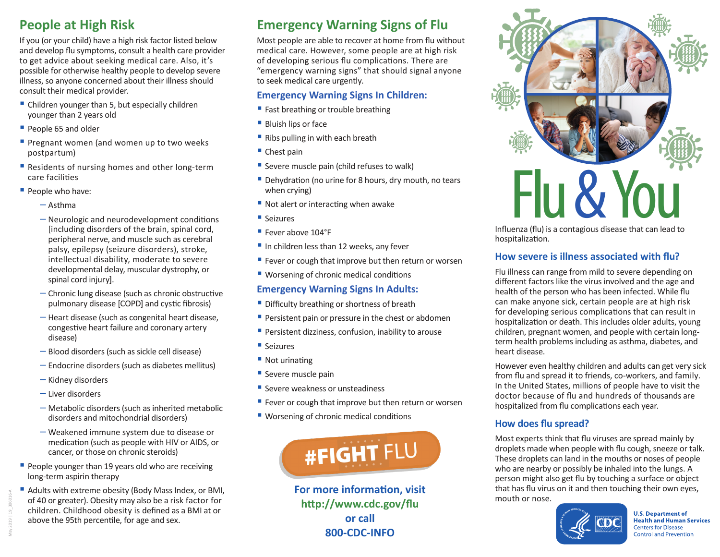# **People at High Risk**

If you (or your child) have a high risk factor listed below and develop flu symptoms, consult a health care provider to get advice about seeking medical care. Also, it's possible for otherwise healthy people to develop severe illness, so anyone concerned about their illness should consult their medical provider.

- Children younger than 5, but especially children younger than 2 years old
- People 65 and older
- **Pregnant women (and women up to two weeks)** postpartum)
- Residents of nursing homes and other long-term care facilities
- People who have:
	- ─ Asthma
	- ─ Neurologic and neurodevelopment conditions [including disorders of the brain, spinal cord, peripheral nerve, and muscle such as cerebral palsy, epilepsy (seizure disorders), stroke, intellectual disability, moderate to severe developmental delay, muscular dystrophy, or spinal cord injury].
	- ─ Chronic lung disease (such as chronic obstructive pulmonary disease [COPD] and cystic fibrosis)
	- ─ Heart disease (such as congenital heart disease, congestive heart failure and coronary artery disease)
	- ─ Blood disorders (such as sickle cell disease)
	- ─ Endocrine disorders (such as diabetes mellitus)
	- ─ Kidney disorders
	- ─ Liver disorders
	- ─ Metabolic disorders (such as inherited metabolic disorders and mitochondrial disorders)
	- ─ Weakened immune system due to disease or medication (such as people with HIV or AIDS, or cancer, or those on chronic steroids)
- People younger than 19 years old who are receiving long-term aspirin therapy
- Adults with extreme obesity (Body Mass Index, or BMI, of 40 or greater). Obesity may also be a risk factor for children. Childhood obesity is defined as a BMI at or above the 95th percentile, for age and sex.

# **Emergency Warning Signs of Flu**

Most people are able to recover at home from flu without medical care. However, some people are at high risk of developing serious flu complications. There are "emergency warning signs" that should signal anyone to seek medical care urgently.

- **Emergency Warning Signs In Children:** ■ Fast breathing or trouble breathing
- 
- Bluish lips or face
- Ribs pulling in with each breath
- Chest pain
- Severe muscle pain (child refuses to walk)
- Dehydration (no urine for 8 hours, dry mouth, no tears when crying)
- Not alert or interacting when awake
- Seizures
- Fever above 104°F
- In children less than 12 weeks, any fever
- Fever or cough that improve but then return or worsen
- Worsening of chronic medical conditions

## **Emergency Warning Signs In Adults:**

- Difficulty breathing or shortness of breath
- Persistent pain or pressure in the chest or abdomen
- Persistent dizziness, confusion, inability to arouse
- Seizures
- Not urinating
- Severe muscle pain
- Severe weakness or unsteadiness
- Fever or cough that improve but then return or worsen
- Worsening of chronic medical conditions



**For more information, visit http:/[/www.cdc.gov/flu](http://www.cdc.gov/flu) or call 800-CDC-INFO**



hospitalization.

## **How severe is illness associated with flu?**

Flu illness can range from mild to severe depending on different factors like the virus involved and the age and health of the person who has been infected. While flu can make anyone sick, certain people are at high risk for developing serious complications that can result in hospitalization or death. This includes older adults, young children, pregnant women, and people with certain longterm health problems including as asthma, diabetes, and heart disease.

However even healthy children and adults can get very sick from flu and spread it to friends, co-workers, and family. In the United States, millions of people have to visit the doctor because of flu and hundreds of thousands are hospitalized from flu complications each year.

## **How does flu spread?**

Most experts think that flu viruses are spread mainly by droplets made when people with flu cough, sneeze or talk. These droplets can land in the mouths or noses of people who are nearby or possibly be inhaled into the lungs. A person might also get flu by touching a surface or object that has flu virus on it and then touching their own eyes, mouth or nose.



**U.S. Department of Health and Human Services Centers for Disease Control and Prevention**